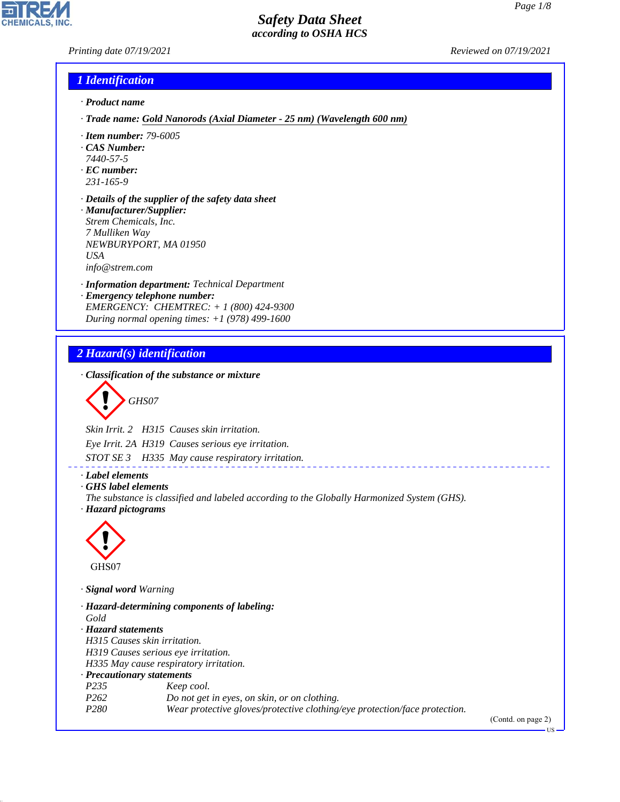*Printing date 07/19/2021 Reviewed on 07/19/2021*

# *1 Identification*

- *· Product name*
- *· Trade name: Gold Nanorods (Axial Diameter 25 nm) (Wavelength 600 nm)*
- *· Item number: 79-6005*
- *· CAS Number:*
- *7440-57-5*
- *· EC number: 231-165-9*
- *· Details of the supplier of the safety data sheet · Manufacturer/Supplier: Strem Chemicals, Inc. 7 Mulliken Way NEWBURYPORT, MA 01950 USA*

*info@strem.com*

- *· Information department: Technical Department*
- *· Emergency telephone number: EMERGENCY: CHEMTREC: + 1 (800) 424-9300 During normal opening times: +1 (978) 499-1600*

# *2 Hazard(s) identification*

*· Classification of the substance or mixture*

$$
\bigotimes \mathrm{GH}S07
$$

*Skin Irrit. 2 H315 Causes skin irritation.*

*Eye Irrit. 2A H319 Causes serious eye irritation.*

*STOT SE 3 H335 May cause respiratory irritation.*

*· Label elements*

*· GHS label elements*

*The substance is classified and labeled according to the Globally Harmonized System (GHS). · Hazard pictograms*

\_\_\_\_\_\_\_\_\_\_\_\_\_\_\_\_\_\_\_\_\_



44.1.1

*· Signal word Warning*

*· Hazard-determining components of labeling: Gold · Hazard statements H315 Causes skin irritation. H319 Causes serious eye irritation. H335 May cause respiratory irritation. · Precautionary statements P235 Keep cool. P262 Do not get in eyes, on skin, or on clothing. P280 Wear protective gloves/protective clothing/eye protection/face protection.*

(Contd. on page 2)

US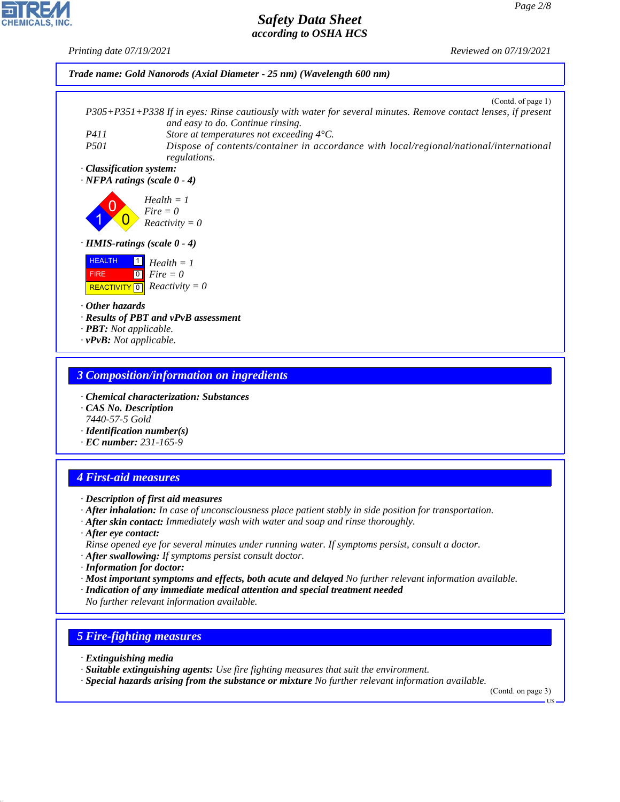*Printing date 07/19/2021 Reviewed on 07/19/2021*



#### *3 Composition/information on ingredients*

- *· Chemical characterization: Substances*
- *· CAS No. Description 7440-57-5 Gold*
- *· Identification number(s)*
- *· EC number: 231-165-9*

# *4 First-aid measures*

- *· Description of first aid measures*
- *· After inhalation: In case of unconsciousness place patient stably in side position for transportation.*
- *· After skin contact: Immediately wash with water and soap and rinse thoroughly.*
- *· After eye contact: Rinse opened eye for several minutes under running water. If symptoms persist, consult a doctor.*
- *· After swallowing: If symptoms persist consult doctor.*
- *· Information for doctor:*
- *· Most important symptoms and effects, both acute and delayed No further relevant information available.*
- *· Indication of any immediate medical attention and special treatment needed No further relevant information available.*

# *5 Fire-fighting measures*

*· Extinguishing media*

44.1.1

- *· Suitable extinguishing agents: Use fire fighting measures that suit the environment.*
- *· Special hazards arising from the substance or mixture No further relevant information available.*

(Contd. on page 3)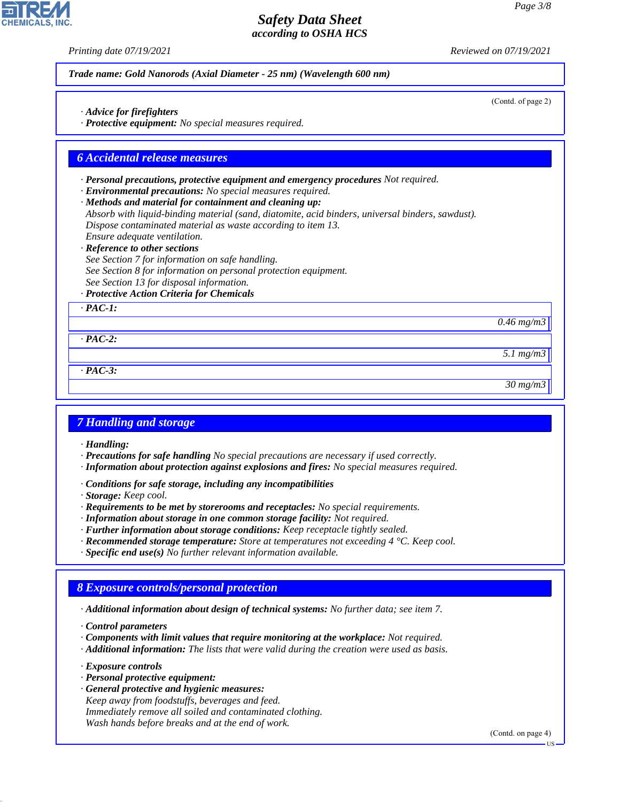(Contd. of page 2)

## *Safety Data Sheet according to OSHA HCS*

*Printing date 07/19/2021 Reviewed on 07/19/2021*

*Trade name: Gold Nanorods (Axial Diameter - 25 nm) (Wavelength 600 nm)*

*· Advice for firefighters*

*· Protective equipment: No special measures required.*

#### *6 Accidental release measures*

*· Personal precautions, protective equipment and emergency procedures Not required.*

*· Environmental precautions: No special measures required.*

*· Methods and material for containment and cleaning up: Absorb with liquid-binding material (sand, diatomite, acid binders, universal binders, sawdust). Dispose contaminated material as waste according to item 13.*

*Ensure adequate ventilation.*

*· Reference to other sections*

*See Section 7 for information on safe handling. See Section 8 for information on personal protection equipment. See Section 13 for disposal information.*

*· Protective Action Criteria for Chemicals*

*· PAC-1:*

*0.46 mg/m3*

*· PAC-2:*

*· PAC-3:*

*30 mg/m3*

*5.1 mg/m3*

#### *7 Handling and storage*

*· Handling:*

- *· Precautions for safe handling No special precautions are necessary if used correctly.*
- *· Information about protection against explosions and fires: No special measures required.*
- *· Conditions for safe storage, including any incompatibilities*

*· Storage: Keep cool.*

- *· Requirements to be met by storerooms and receptacles: No special requirements.*
- *· Information about storage in one common storage facility: Not required.*
- *· Further information about storage conditions: Keep receptacle tightly sealed.*
- *· Recommended storage temperature: Store at temperatures not exceeding 4 °C. Keep cool.*
- *· Specific end use(s) No further relevant information available.*

# *8 Exposure controls/personal protection*

*· Additional information about design of technical systems: No further data; see item 7.*

*· Control parameters*

- *· Components with limit values that require monitoring at the workplace: Not required.*
- *· Additional information: The lists that were valid during the creation were used as basis.*

*· Exposure controls*

44.1.1

- *· Personal protective equipment:*
- *· General protective and hygienic measures: Keep away from foodstuffs, beverages and feed. Immediately remove all soiled and contaminated clothing. Wash hands before breaks and at the end of work.*

(Contd. on page 4)

US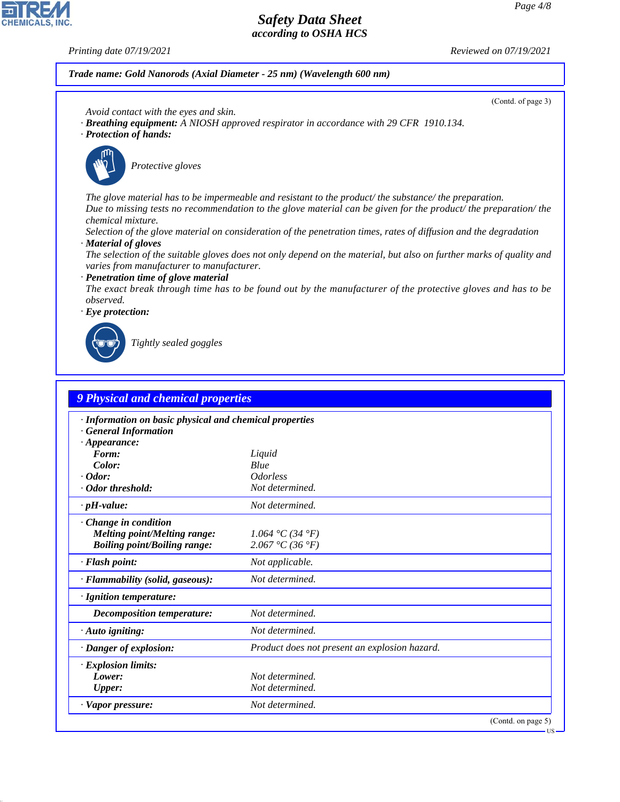**CHEMICALS, INC** 

*Printing date 07/19/2021 Reviewed on 07/19/2021*

#### *Trade name: Gold Nanorods (Axial Diameter - 25 nm) (Wavelength 600 nm)*

(Contd. of page 3)

- *Avoid contact with the eyes and skin.*
- *· Breathing equipment: A NIOSH approved respirator in accordance with 29 CFR 1910.134.*
- *· Protection of hands:*



\_S*Protective gloves*

*The glove material has to be impermeable and resistant to the product/ the substance/ the preparation. Due to missing tests no recommendation to the glove material can be given for the product/ the preparation/ the chemical mixture.*

*Selection of the glove material on consideration of the penetration times, rates of diffusion and the degradation · Material of gloves*

*The selection of the suitable gloves does not only depend on the material, but also on further marks of quality and varies from manufacturer to manufacturer.*

*· Penetration time of glove material*

*The exact break through time has to be found out by the manufacturer of the protective gloves and has to be observed.*

*· Eye protection:*



44.1.1

\_R*Tightly sealed goggles*

| · Information on basic physical and chemical properties                 |                               |  |  |  |
|-------------------------------------------------------------------------|-------------------------------|--|--|--|
| <b>General Information</b>                                              |                               |  |  |  |
| $\cdot$ Appearance:<br>Form:                                            | Liquid                        |  |  |  |
| Color:                                                                  | Blue                          |  |  |  |
| $\cdot$ Odor:                                                           | <i><u><b>Odorless</b></u></i> |  |  |  |
| · Odor threshold:                                                       | Not determined.               |  |  |  |
| $\cdot$ pH-value:                                                       | Not determined.               |  |  |  |
| Change in condition                                                     |                               |  |  |  |
| <b>Melting point/Melting range:</b>                                     | 1.064 °C (34 °F)              |  |  |  |
| <b>Boiling point/Boiling range:</b>                                     | 2.067 °C (36 °F)              |  |  |  |
| · Flash point:                                                          | Not applicable.               |  |  |  |
| · Flammability (solid, gaseous):                                        | Not determined.               |  |  |  |
| · Ignition temperature:                                                 |                               |  |  |  |
| <b>Decomposition temperature:</b>                                       | Not determined.               |  |  |  |
| Not determined.<br>$\cdot$ Auto igniting:                               |                               |  |  |  |
| · Danger of explosion:<br>Product does not present an explosion hazard. |                               |  |  |  |
| · Explosion limits:                                                     |                               |  |  |  |
| Lower:                                                                  | Not determined.               |  |  |  |
| <b>Upper:</b>                                                           | Not determined.               |  |  |  |
| · Vapor pressure:                                                       | Not determined.               |  |  |  |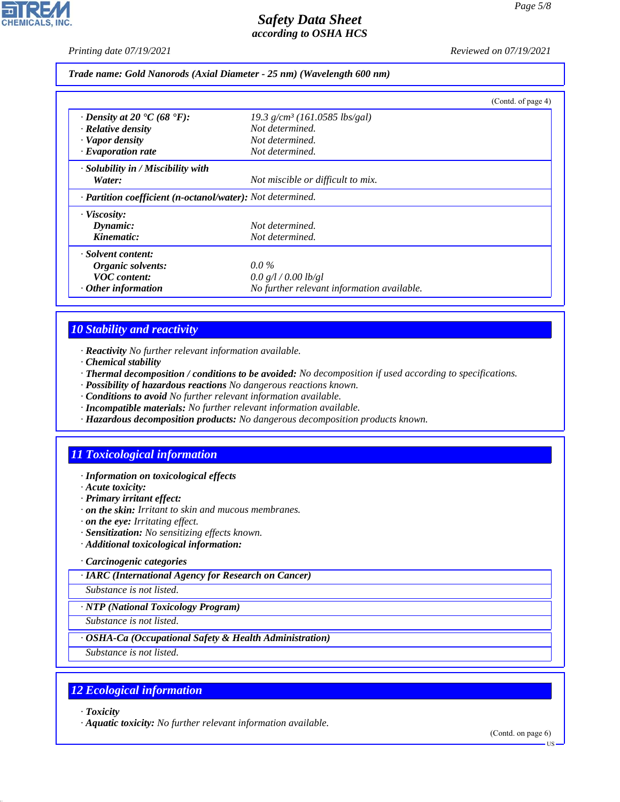*Printing date 07/19/2021 Reviewed on 07/19/2021*

#### *Trade name: Gold Nanorods (Axial Diameter - 25 nm) (Wavelength 600 nm)*

|                                                            |                                             | (Contd. of page 4) |  |  |
|------------------------------------------------------------|---------------------------------------------|--------------------|--|--|
| $\cdot$ Density at 20 $\cdot$ C (68 $\cdot$ F):            | $19.3$ g/cm <sup>3</sup> (161.0585 lbs/gal) |                    |  |  |
| $\cdot$ Relative density                                   | Not determined.                             |                    |  |  |
| · Vapor density                                            | Not determined.                             |                    |  |  |
| · Evaporation rate                                         | Not determined.                             |                    |  |  |
| $\cdot$ Solubility in / Miscibility with                   |                                             |                    |  |  |
| Water:                                                     | Not miscible or difficult to mix.           |                    |  |  |
| · Partition coefficient (n-octanol/water): Not determined. |                                             |                    |  |  |
| · Viscosity:                                               |                                             |                    |  |  |
| Dynamic:                                                   | Not determined.                             |                    |  |  |
| Kinematic:                                                 | Not determined.                             |                    |  |  |
| · Solvent content:                                         |                                             |                    |  |  |
| Organic solvents:                                          | $0.0\%$                                     |                    |  |  |
| <b>VOC</b> content:                                        | 0.0 g/l / 0.00 lb/gl                        |                    |  |  |
| $\cdot$ Other information                                  | No further relevant information available.  |                    |  |  |

# *10 Stability and reactivity*

*· Reactivity No further relevant information available.*

- *· Chemical stability*
- *· Thermal decomposition / conditions to be avoided: No decomposition if used according to specifications.*
- *· Possibility of hazardous reactions No dangerous reactions known.*
- *· Conditions to avoid No further relevant information available.*
- *· Incompatible materials: No further relevant information available.*
- *· Hazardous decomposition products: No dangerous decomposition products known.*

# *11 Toxicological information*

#### *· Information on toxicological effects*

- *· Acute toxicity:*
- *· Primary irritant effect:*
- *· on the skin: Irritant to skin and mucous membranes.*
- *· on the eye: Irritating effect.*
- *· Sensitization: No sensitizing effects known.*
- *· Additional toxicological information:*
- *· Carcinogenic categories*

*· IARC (International Agency for Research on Cancer)*

*Substance is not listed.*

*· NTP (National Toxicology Program)*

*Substance is not listed.*

#### *· OSHA-Ca (Occupational Safety & Health Administration)*

*Substance is not listed.*

# *12 Ecological information*

*· Toxicity*

44.1.1

*· Aquatic toxicity: No further relevant information available.*

(Contd. on page 6)

US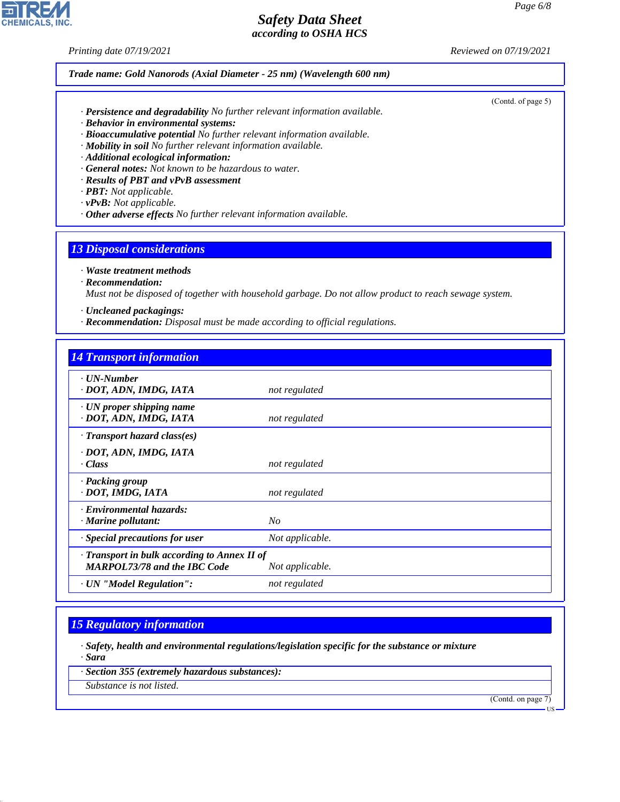*Printing date 07/19/2021 Reviewed on 07/19/2021*

#### *Trade name: Gold Nanorods (Axial Diameter - 25 nm) (Wavelength 600 nm)*

- *· Persistence and degradability No further relevant information available.*
- *· Behavior in environmental systems:*
- *· Bioaccumulative potential No further relevant information available.*
- *· Mobility in soil No further relevant information available.*
- *· Additional ecological information:*
- *· General notes: Not known to be hazardous to water.*
- *· Results of PBT and vPvB assessment*
- *· PBT: Not applicable.*
- *· vPvB: Not applicable.*
- *· Other adverse effects No further relevant information available.*

#### *13 Disposal considerations*

*· Waste treatment methods*

*· Recommendation:*

*Must not be disposed of together with household garbage. Do not allow product to reach sewage system.*

- *· Uncleaned packagings:*
- *· Recommendation: Disposal must be made according to official regulations.*

#### *14 Transport information*

| $\cdot$ UN-Number<br>· DOT, ADN, IMDG, IATA                                         | not regulated   |
|-------------------------------------------------------------------------------------|-----------------|
| $\cdot$ UN proper shipping name<br>· DOT, ADN, IMDG, IATA                           | not regulated   |
| $\cdot$ Transport hazard class(es)                                                  |                 |
| · DOT, ADN, IMDG, IATA<br>· Class                                                   | not regulated   |
| · Packing group<br>· DOT, IMDG, IATA                                                | not regulated   |
| · Environmental hazards:<br>$\cdot$ Marine pollutant:                               | $N_{O}$         |
| · Special precautions for user                                                      | Not applicable. |
| · Transport in bulk according to Annex II of<br><b>MARPOL73/78 and the IBC Code</b> | Not applicable. |
| · UN "Model Regulation":                                                            | not regulated   |

# *15 Regulatory information*

*· Safety, health and environmental regulations/legislation specific for the substance or mixture · Sara*

*· Section 355 (extremely hazardous substances):*

*Substance is not listed.*

44.1.1

(Contd. on page 7)



(Contd. of page 5)

US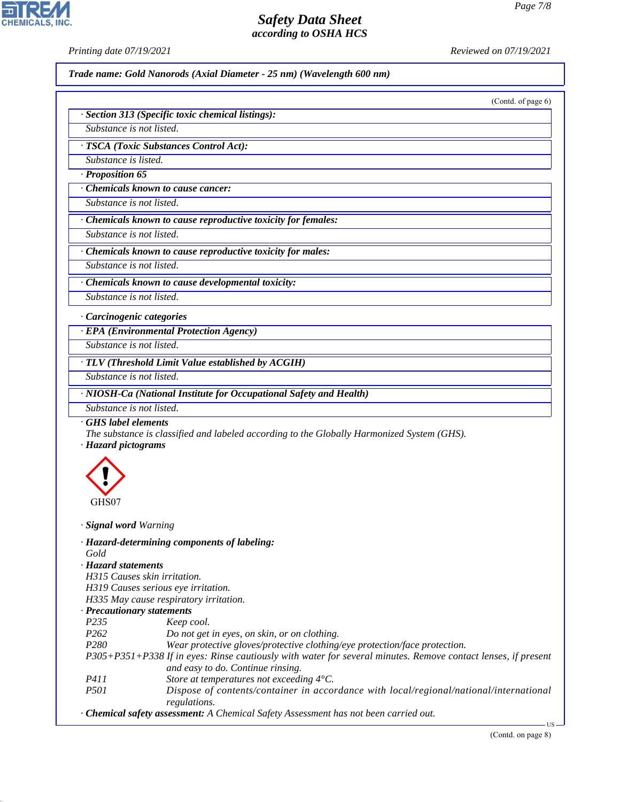**CHEMICALS, INC** 

*Printing date 07/19/2021 Reviewed on 07/19/2021*

*Trade name: Gold Nanorods (Axial Diameter - 25 nm) (Wavelength 600 nm)*

(Contd. of page 6)

| · Section 313 (Specific toxic chemical listings): |  |
|---------------------------------------------------|--|
| Substance is not listed.                          |  |

*· TSCA (Toxic Substances Control Act):*

*Substance is listed.*

*· Proposition 65*

*· Chemicals known to cause cancer:*

*Substance is not listed.*

*· Chemicals known to cause reproductive toxicity for females:*

*Substance is not listed.*

*· Chemicals known to cause reproductive toxicity for males:*

*Substance is not listed.*

*· Chemicals known to cause developmental toxicity: Substance is not listed.*

*· Carcinogenic categories*

*· EPA (Environmental Protection Agency)*

*Substance is not listed.*

*· TLV (Threshold Limit Value established by ACGIH)*

*Substance is not listed.*

*· NIOSH-Ca (National Institute for Occupational Safety and Health)*

*Substance is not listed.*

*· GHS label elements*

*The substance is classified and labeled according to the Globally Harmonized System (GHS).*

*· Hazard pictograms*



44.1.1

*· Signal word Warning*

*· Hazard-determining components of labeling: Gold · Hazard statements*

*H315 Causes skin irritation.*

*H319 Causes serious eye irritation.*

*H335 May cause respiratory irritation.*

#### *· Precautionary statements*

| P <sub>235</sub> | Keep cool. |
|------------------|------------|
|                  |            |

*P262 Do not get in eyes, on skin, or on clothing.*

*P280 Wear protective gloves/protective clothing/eye protection/face protection.*

*P305+P351+P338 If in eyes: Rinse cautiously with water for several minutes. Remove contact lenses, if present and easy to do. Continue rinsing.*

- *P411 Store at temperatures not exceeding 4°C.*
- *P501 Dispose of contents/container in accordance with local/regional/national/international regulations.*
- *· Chemical safety assessment: A Chemical Safety Assessment has not been carried out.*

US